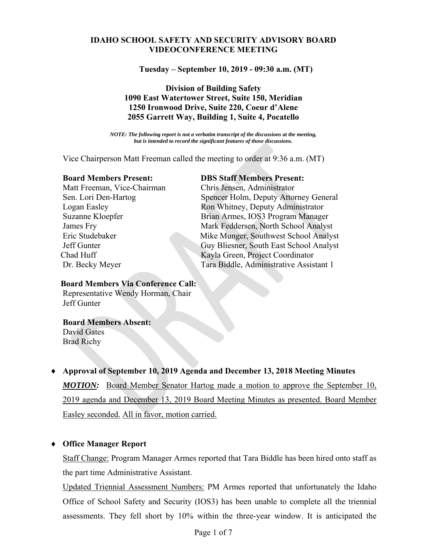### **IDAHO SCHOOL SAFETY AND SECURITY ADVISORY BOARD VIDEOCONFERENCE MEETING**

**Tuesday – September 10, 2019 - 09:30 a.m. (MT)**

# **Division of Building Safety 1090 East Watertower Street, Suite 150, Meridian 1250 Ironwood Drive, Suite 220, Coeur d'Alene 2055 Garrett Way, Building 1, Suite 4, Pocatello**

*NOTE: The following report is not a verbatim transcript of the discussions at the meeting, but is intended to record the significant features of those discussions.*

Vice Chairperson Matt Freeman called the meeting to order at 9:36 a.m. (MT)

Matt Freeman, Vice-Chairman Chris Jensen, Administrator

#### **Board Members Present: DBS Staff Members Present:**

Sen. Lori Den-Hartog Spencer Holm, Deputy Attorney General Logan Easley **Ron Whitney**, Deputy Administrator Suzanne Kloepfer Brian Armes, IOS3 Program Manager James Fry Mark Feddersen, North School Analyst Eric Studebaker Mike Munger, Southwest School Analyst Jeff Gunter Guy Bliesner, South East School Analyst Chad Huff Kayla Green, Project Coordinator Dr. Becky Meyer Tara Biddle, Administrative Assistant 1

#### **Board Members Via Conference Call:**

Representative Wendy Horman, Chair Jeff Gunter

#### **Board Members Absent:**

 David Gates Brad Richy

# **Approval of September 10, 2019 Agenda and December 13, 2018 Meeting Minutes**

*MOTION:* Board Member Senator Hartog made a motion to approve the September 10, 2019 agenda and December 13, 2019 Board Meeting Minutes as presented. Board Member Easley seconded. All in favor, motion carried.

# **Office Manager Report**

Staff Change: Program Manager Armes reported that Tara Biddle has been hired onto staff as the part time Administrative Assistant.

Updated Triennial Assessment Numbers: PM Armes reported that unfortunately the Idaho Office of School Safety and Security (IOS3) has been unable to complete all the triennial assessments. They fell short by 10% within the three-year window. It is anticipated the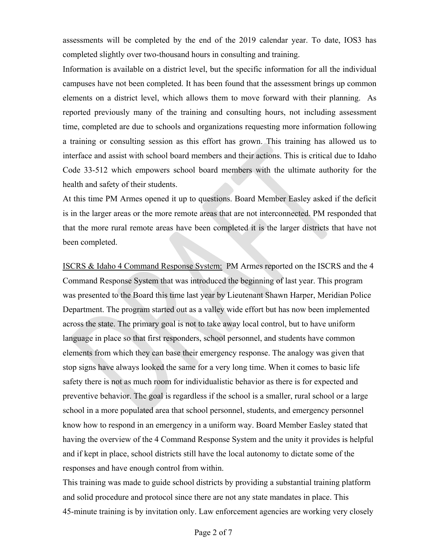assessments will be completed by the end of the 2019 calendar year. To date, IOS3 has completed slightly over two-thousand hours in consulting and training.

Information is available on a district level, but the specific information for all the individual campuses have not been completed. It has been found that the assessment brings up common elements on a district level, which allows them to move forward with their planning. As reported previously many of the training and consulting hours, not including assessment time, completed are due to schools and organizations requesting more information following a training or consulting session as this effort has grown. This training has allowed us to interface and assist with school board members and their actions. This is critical due to Idaho Code 33-512 which empowers school board members with the ultimate authority for the health and safety of their students.

At this time PM Armes opened it up to questions. Board Member Easley asked if the deficit is in the larger areas or the more remote areas that are not interconnected. PM responded that that the more rural remote areas have been completed it is the larger districts that have not been completed.

ISCRS & Idaho 4 Command Response System: PM Armes reported on the ISCRS and the 4 Command Response System that was introduced the beginning of last year. This program was presented to the Board this time last year by Lieutenant Shawn Harper, Meridian Police Department. The program started out as a valley wide effort but has now been implemented across the state. The primary goal is not to take away local control, but to have uniform language in place so that first responders, school personnel, and students have common elements from which they can base their emergency response. The analogy was given that stop signs have always looked the same for a very long time. When it comes to basic life safety there is not as much room for individualistic behavior as there is for expected and preventive behavior. The goal is regardless if the school is a smaller, rural school or a large school in a more populated area that school personnel, students, and emergency personnel know how to respond in an emergency in a uniform way. Board Member Easley stated that having the overview of the 4 Command Response System and the unity it provides is helpful and if kept in place, school districts still have the local autonomy to dictate some of the responses and have enough control from within.

This training was made to guide school districts by providing a substantial training platform and solid procedure and protocol since there are not any state mandates in place. This 45-minute training is by invitation only. Law enforcement agencies are working very closely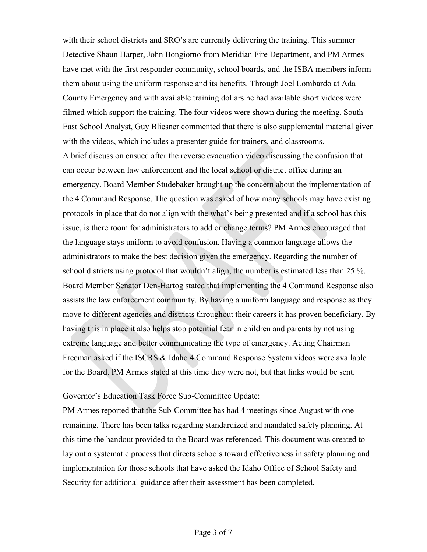with their school districts and SRO's are currently delivering the training. This summer Detective Shaun Harper, John Bongiorno from Meridian Fire Department, and PM Armes have met with the first responder community, school boards, and the ISBA members inform them about using the uniform response and its benefits. Through Joel Lombardo at Ada County Emergency and with available training dollars he had available short videos were filmed which support the training. The four videos were shown during the meeting. South East School Analyst, Guy Bliesner commented that there is also supplemental material given with the videos, which includes a presenter guide for trainers, and classrooms.

A brief discussion ensued after the reverse evacuation video discussing the confusion that can occur between law enforcement and the local school or district office during an emergency. Board Member Studebaker brought up the concern about the implementation of the 4 Command Response. The question was asked of how many schools may have existing protocols in place that do not align with the what's being presented and if a school has this issue, is there room for administrators to add or change terms? PM Armes encouraged that the language stays uniform to avoid confusion. Having a common language allows the administrators to make the best decision given the emergency. Regarding the number of school districts using protocol that wouldn't align, the number is estimated less than 25 %. Board Member Senator Den-Hartog stated that implementing the 4 Command Response also assists the law enforcement community. By having a uniform language and response as they move to different agencies and districts throughout their careers it has proven beneficiary. By having this in place it also helps stop potential fear in children and parents by not using extreme language and better communicating the type of emergency. Acting Chairman Freeman asked if the ISCRS & Idaho 4 Command Response System videos were available for the Board. PM Armes stated at this time they were not, but that links would be sent.

#### Governor's Education Task Force Sub-Committee Update:

PM Armes reported that the Sub-Committee has had 4 meetings since August with one remaining. There has been talks regarding standardized and mandated safety planning. At this time the handout provided to the Board was referenced. This document was created to lay out a systematic process that directs schools toward effectiveness in safety planning and implementation for those schools that have asked the Idaho Office of School Safety and Security for additional guidance after their assessment has been completed.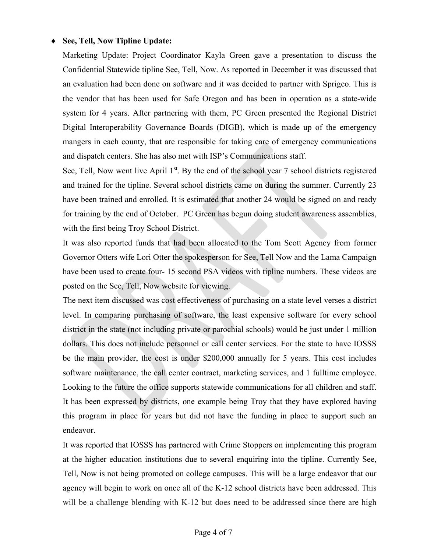### **See, Tell, Now Tipline Update:**

Marketing Update: Project Coordinator Kayla Green gave a presentation to discuss the Confidential Statewide tipline See, Tell, Now. As reported in December it was discussed that an evaluation had been done on software and it was decided to partner with Sprigeo. This is the vendor that has been used for Safe Oregon and has been in operation as a state-wide system for 4 years. After partnering with them, PC Green presented the Regional District Digital Interoperability Governance Boards (DIGB), which is made up of the emergency mangers in each county, that are responsible for taking care of emergency communications and dispatch centers. She has also met with ISP's Communications staff.

See, Tell, Now went live April 1<sup>st</sup>. By the end of the school year 7 school districts registered and trained for the tipline. Several school districts came on during the summer. Currently 23 have been trained and enrolled. It is estimated that another 24 would be signed on and ready for training by the end of October. PC Green has begun doing student awareness assemblies, with the first being Troy School District.

It was also reported funds that had been allocated to the Tom Scott Agency from former Governor Otters wife Lori Otter the spokesperson for See, Tell Now and the Lama Campaign have been used to create four- 15 second PSA videos with tipline numbers. These videos are posted on the See, Tell, Now website for viewing.

The next item discussed was cost effectiveness of purchasing on a state level verses a district level. In comparing purchasing of software, the least expensive software for every school district in the state (not including private or parochial schools) would be just under 1 million dollars. This does not include personnel or call center services. For the state to have IOSSS be the main provider, the cost is under \$200,000 annually for 5 years. This cost includes software maintenance, the call center contract, marketing services, and 1 fulltime employee. Looking to the future the office supports statewide communications for all children and staff. It has been expressed by districts, one example being Troy that they have explored having this program in place for years but did not have the funding in place to support such an endeavor.

It was reported that IOSSS has partnered with Crime Stoppers on implementing this program at the higher education institutions due to several enquiring into the tipline. Currently See, Tell, Now is not being promoted on college campuses. This will be a large endeavor that our agency will begin to work on once all of the K-12 school districts have been addressed. This will be a challenge blending with K-12 but does need to be addressed since there are high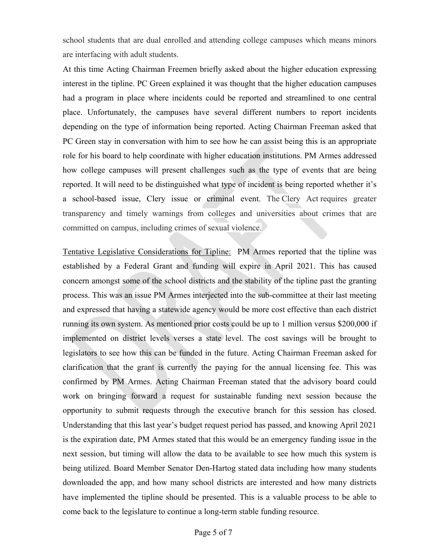school students that are dual enrolled and attending college campuses which means minors are interfacing with adult students.

At this time Acting Chairman Freemen briefly asked about the higher education expressing interest in the tipline. PC Green explained it was thought that the higher education campuses had a program in place where incidents could be reported and streamlined to one central place. Unfortunately, the campuses have several different numbers to report incidents depending on the type of information being reported. Acting Chairman Freeman asked that PC Green stay in conversation with him to see how he can assist being this is an appropriate role for his board to help coordinate with higher education institutions. PM Armes addressed how college campuses will present challenges such as the type of events that are being reported. It will need to be distinguished what type of incident is being reported whether it's a school-based issue, Clery issue or criminal event. The Clery Act requires greater transparency and timely warnings from colleges and universities about crimes that are committed on campus, including crimes of sexual violence.

Tentative Legislative Considerations for Tipline: PM Armes reported that the tipline was established by a Federal Grant and funding will expire in April 2021. This has caused concern amongst some of the school districts and the stability of the tipline past the granting process. This was an issue PM Armes interjected into the sub-committee at their last meeting and expressed that having a statewide agency would be more cost effective than each district running its own system. As mentioned prior costs could be up to 1 million versus \$200,000 if implemented on district levels verses a state level. The cost savings will be brought to legislators to see how this can be funded in the future. Acting Chairman Freeman asked for clarification that the grant is currently the paying for the annual licensing fee. This was confirmed by PM Armes. Acting Chairman Freeman stated that the advisory board could work on bringing forward a request for sustainable funding next session because the opportunity to submit requests through the executive branch for this session has closed. Understanding that this last year's budget request period has passed, and knowing April 2021 is the expiration date, PM Armes stated that this would be an emergency funding issue in the next session, but timing will allow the data to be available to see how much this system is being utilized. Board Member Senator Den-Hartog stated data including how many students downloaded the app, and how many school districts are interested and how many districts have implemented the tipline should be presented. This is a valuable process to be able to come back to the legislature to continue a long-term stable funding resource.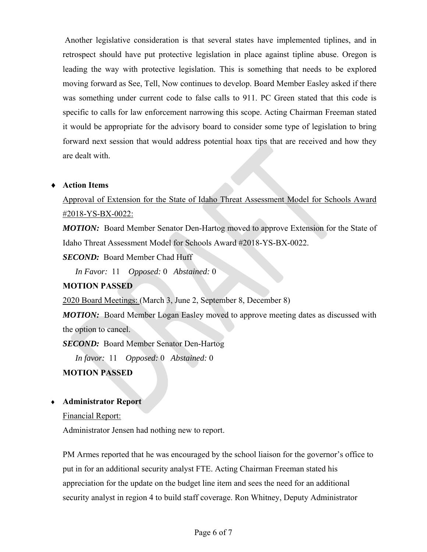Another legislative consideration is that several states have implemented tiplines, and in retrospect should have put protective legislation in place against tipline abuse. Oregon is leading the way with protective legislation. This is something that needs to be explored moving forward as See, Tell, Now continues to develop. Board Member Easley asked if there was something under current code to false calls to 911. PC Green stated that this code is specific to calls for law enforcement narrowing this scope. Acting Chairman Freeman stated it would be appropriate for the advisory board to consider some type of legislation to bring forward next session that would address potential hoax tips that are received and how they are dealt with.

# **Action Items**

# Approval of Extension for the State of Idaho Threat Assessment Model for Schools Award #2018-YS-BX-0022:

*MOTION:* Board Member Senator Den-Hartog moved to approve Extension for the State of Idaho Threat Assessment Model for Schools Award #2018-YS-BX-0022.

*SECOND:* Board Member Chad Huff

*In Favor:* 11 *Opposed:* 0 *Abstained:* 0

# **MOTION PASSED**

2020 Board Meetings: (March 3, June 2, September 8, December 8)

*MOTION:* Board Member Logan Easley moved to approve meeting dates as discussed with the option to cancel.

*SECOND:* Board Member Senator Den-Hartog

*In favor:* 11 *Opposed:* 0 *Abstained:* 0

# **MOTION PASSED**

# **Administrator Report**

Financial Report:

Administrator Jensen had nothing new to report.

PM Armes reported that he was encouraged by the school liaison for the governor's office to put in for an additional security analyst FTE. Acting Chairman Freeman stated his appreciation for the update on the budget line item and sees the need for an additional security analyst in region 4 to build staff coverage. Ron Whitney, Deputy Administrator